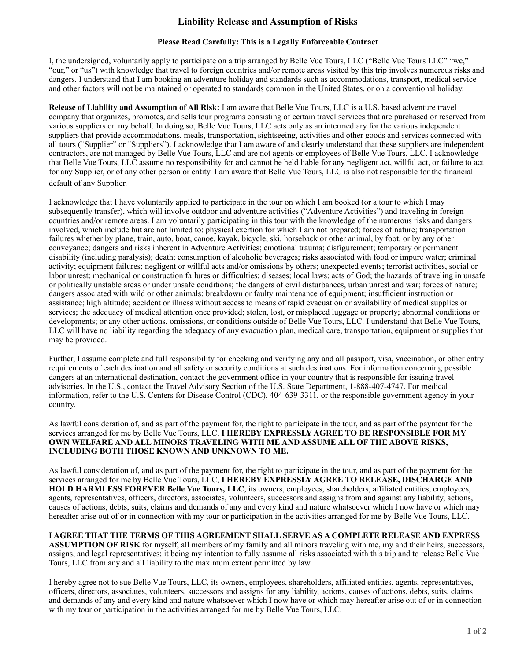## **Liability Release and Assumption of Risks**

## **Please Read Carefully: This is a Legally Enforceable Contract**

I, the undersigned, voluntarily apply to participate on a trip arranged by Belle Vue Tours, LLC ("Belle Vue Tours LLC" "we," "our," or "us") with knowledge that travel to foreign countries and/or remote areas visited by this trip involves numerous risks and dangers. I understand that I am booking an adventure holiday and standards such as accommodations, transport, medical service and other factors will not be maintained or operated to standards common in the United States, or on a conventional holiday.

**Release of Liability and Assumption of All Risk:** I am aware that Belle Vue Tours, LLC is a U.S. based adventure travel company that organizes, promotes, and sells tour programs consisting of certain travel services that are purchased or reserved from various suppliers on my behalf. In doing so, Belle Vue Tours, LLC acts only as an intermediary for the various independent suppliers that provide accommodations, meals, transportation, sightseeing, activities and other goods and services connected with all tours ("Supplier" or "Suppliers"). I acknowledge that I am aware of and clearly understand that these suppliers are independent contractors, are not managed by Belle Vue Tours, LLC and are not agents or employees of Belle Vue Tours, LLC. I acknowledge that Belle Vue Tours, LLC assume no responsibility for and cannot be held liable for any negligent act, willful act, or failure to act for any Supplier, or of any other person or entity. I am aware that Belle Vue Tours, LLC is also not responsible for the financial default of any Supplier.

I acknowledge that I have voluntarily applied to participate in the tour on which I am booked (or a tour to which I may subsequently transfer), which will involve outdoor and adventure activities ("Adventure Activities") and traveling in foreign countries and/or remote areas. I am voluntarily participating in this tour with the knowledge of the numerous risks and dangers involved, which include but are not limited to: physical exertion for which I am not prepared; forces of nature; transportation failures whether by plane, train, auto, boat, canoe, kayak, bicycle, ski, horseback or other animal, by foot, or by any other conveyance; dangers and risks inherent in Adventure Activities; emotional trauma; disfigurement; temporary or permanent disability (including paralysis); death; consumption of alcoholic beverages; risks associated with food or impure water; criminal activity; equipment failures; negligent or willful acts and/or omissions by others; unexpected events; terrorist activities, social or labor unrest; mechanical or construction failures or difficulties; diseases; local laws; acts of God; the hazards of traveling in unsafe or politically unstable areas or under unsafe conditions; the dangers of civil disturbances, urban unrest and war; forces of nature; dangers associated with wild or other animals; breakdown or faulty maintenance of equipment; insufficient instruction or assistance; high altitude; accident or illness without access to means of rapid evacuation or availability of medical supplies or services; the adequacy of medical attention once provided; stolen, lost, or misplaced luggage or property; abnormal conditions or developments; or any other actions, omissions, or conditions outside of Belle Vue Tours, LLC. I understand that Belle Vue Tours, LLC will have no liability regarding the adequacy of any evacuation plan, medical care, transportation, equipment or supplies that may be provided.

Further, I assume complete and full responsibility for checking and verifying any and all passport, visa, vaccination, or other entry requirements of each destination and all safety or security conditions at such destinations. For information concerning possible dangers at an international destination, contact the government office in your country that is responsible for issuing travel advisories. In the U.S., contact the Travel Advisory Section of the U.S. State Department, 1-888-407-4747. For medical information, refer to the U.S. Centers for Disease Control (CDC), 404-639-3311, or the responsible government agency in your country.

As lawful consideration of, and as part of the payment for, the right to participate in the tour, and as part of the payment for the services arranged for me by Belle Vue Tours, LLC, **I HEREBY EXPRESSLY AGREE TO BE RESPONSIBLE FOR MY OWN WELFARE AND ALL MINORS TRAVELING WITH ME AND ASSUME ALL OF THE ABOVE RISKS, INCLUDING BOTH THOSE KNOWN AND UNKNOWN TO ME.**

As lawful consideration of, and as part of the payment for, the right to participate in the tour, and as part of the payment for the services arranged for me by Belle Vue Tours, LLC, **I HEREBY EXPRESSLY AGREE TO RELEASE, DISCHARGE AND HOLD HARMLESS FOREVER Belle Vue Tours, LLC**, its owners, employees, shareholders, affiliated entities, employees, agents, representatives, officers, directors, associates, volunteers, successors and assigns from and against any liability, actions, causes of actions, debts, suits, claims and demands of any and every kind and nature whatsoever which I now have or which may hereafter arise out of or in connection with my tour or participation in the activities arranged for me by Belle Vue Tours, LLC.

## **I AGREE THAT THE TERMS OF THIS AGREEMENT SHALL SERVE AS A COMPLETE RELEASE AND EXPRESS**

**ASSUMPTION OF RISK** for myself, all members of my family and all minors traveling with me, my and their heirs, successors, assigns, and legal representatives; it being my intention to fully assume all risks associated with this trip and to release Belle Vue Tours, LLC from any and all liability to the maximum extent permitted by law.

I hereby agree not to sue Belle Vue Tours, LLC, its owners, employees, shareholders, affiliated entities, agents, representatives, officers, directors, associates, volunteers, successors and assigns for any liability, actions, causes of actions, debts, suits, claims and demands of any and every kind and nature whatsoever which I now have or which may hereafter arise out of or in connection with my tour or participation in the activities arranged for me by Belle Vue Tours, LLC.